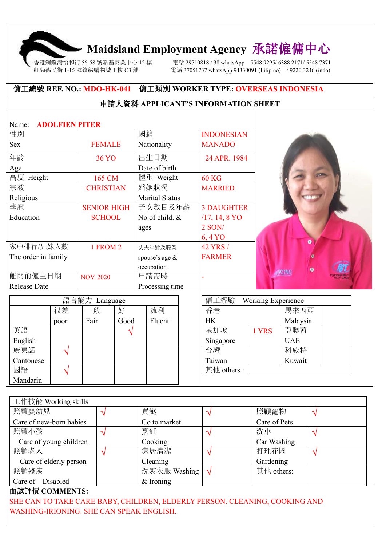# **Maidsland Employment Agency** 承諾僱傭中心

香港銅鑼灣怡和街 56-58 號新基商業中心 12 樓 電話 29710818 / 38 whatsApp 5548 9295/ 6388 2171/ 5548 7371 紅磡德民街 1-15 號繽紛購物城 1 樓 C3 舖 インスタン 電話 37051737 whatsApp 94330091 (Filipino) / 9220 3246 (indo)

#### 傭工編號 **REF. NO.: MDO-HK-041** 傭工類別 **WORKER TYPE: OVERSEAS INDONESIA**

### 申請人資料 **APPLICANT'S INFORMATION SHEET**

| <b>ADOLFIEN PITER</b><br>Name: |                    |                       |                                   |              |  |  |  |  |
|--------------------------------|--------------------|-----------------------|-----------------------------------|--------------|--|--|--|--|
| 性別                             |                    | 國籍                    | <b>INDONESIAN</b>                 |              |  |  |  |  |
| <b>Sex</b>                     | <b>FEMALE</b>      | Nationality           | <b>MANADO</b>                     |              |  |  |  |  |
| 年齡                             | <b>36 YO</b>       | 出生日期                  | 24 APR. 1984                      |              |  |  |  |  |
| Age                            |                    | Date of birth         |                                   |              |  |  |  |  |
| 高度 Height                      | 165 CM             | 體重 Weight             | <b>60 KG</b>                      |              |  |  |  |  |
| 宗教                             | <b>CHRISTIAN</b>   | 婚姻狀況                  | <b>MARRIED</b>                    |              |  |  |  |  |
| Religious                      |                    | <b>Marital Status</b> |                                   |              |  |  |  |  |
| 學歷                             | <b>SENIOR HIGH</b> | 子女數目及年齡               | <b>3 DAUGHTER</b>                 |              |  |  |  |  |
| Education                      | <b>SCHOOL</b>      | No of child. &        | $/17, 14, 8 \text{ YO}$           |              |  |  |  |  |
|                                |                    | ages                  | 2 SON/                            |              |  |  |  |  |
|                                |                    |                       | 6,4 YO                            |              |  |  |  |  |
| 家中排行/兄妹人數                      | 1 FROM 2           | 丈夫年齡及職業               | 42 YRS /                          |              |  |  |  |  |
| The order in family            |                    | spouse's age &        | <b>FARMER</b>                     |              |  |  |  |  |
|                                |                    | occupation            |                                   | $\bullet$    |  |  |  |  |
| 離開前僱主日期                        | <b>NOV. 2020</b>   | 申請需時                  |                                   | <b>WAONG</b> |  |  |  |  |
| <b>Release Date</b>            |                    | Processing time       |                                   |              |  |  |  |  |
|                                | 語言能力 Language      |                       | 傭工經驗<br><b>Working Experience</b> |              |  |  |  |  |
| 加辛                             | $+7$<br>んたん        | 法工厂                   | 手进                                | <b>또 표표표</b> |  |  |  |  |

|           |      | $H H H H U / J$ Language |      |        | $V$ HJ $\rightarrow$ $W$ $\rightarrow$ $W$ $\rightarrow$ $W$ | $\frac{1}{2}$ |            |  |
|-----------|------|--------------------------|------|--------|--------------------------------------------------------------|---------------|------------|--|
|           | 很差   | 一般                       | 好    | 流利     | 香港                                                           |               | 馬來西亞       |  |
|           | poor | Fair                     | Good | Fluent | <b>HK</b>                                                    |               | Malaysia   |  |
| 英語        |      |                          |      |        | 星加坡                                                          | 1 YRS         | 亞聯茜        |  |
| English   |      |                          |      |        | Singapore                                                    |               | <b>UAE</b> |  |
| 廣東話       |      |                          |      |        | 台灣                                                           |               | 科威特        |  |
| Cantonese |      |                          |      |        | Taiwan                                                       |               | Kuwait     |  |
| 國語        |      |                          |      |        | 其他 others:                                                   |               |            |  |
| Mandarin  |      |                          |      |        |                                                              |               |            |  |

| 工作技能 Working skills     |              |              |  |
|-------------------------|--------------|--------------|--|
| 照顧嬰幼兒                   | 買餸           | 照顧寵物         |  |
| Care of new-born babies | Go to market | Care of Pets |  |
| 照顧小孩                    | 烹飪           | 洗車           |  |
| Care of young children  | Cooking      | Car Washing  |  |
| 照顧老人                    | 家居清潔         | 打理花園         |  |
| Care of elderly person  | Cleaning     | Gardening    |  |
| 照顧殘疾                    | 洗熨衣服 Washing | 其他 others:   |  |
| Care of Disabled        | $&$ Ironing  |              |  |

#### 面試評價 **COMMENTS:**

SHE CAN TO TAKE CARE BABY, CHILDREN, ELDERLY PERSON. CLEANING, COOKING AND WASHING-IRIONING. SHE CAN SPEAK ENGLISH.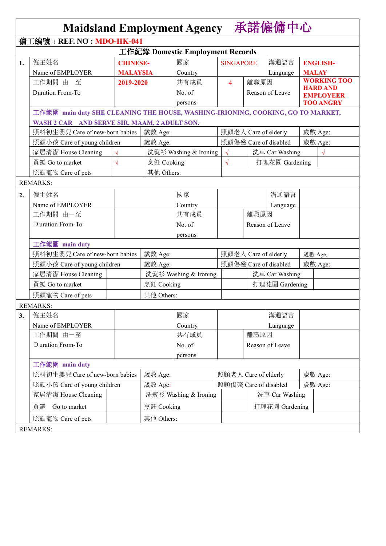|    | <b>Maidsland Employment Agency</b>                                              |                 |                                  |                                  |                       |                       | 承諾僱傭中心                |         |                                      |
|----|---------------------------------------------------------------------------------|-----------------|----------------------------------|----------------------------------|-----------------------|-----------------------|-----------------------|---------|--------------------------------------|
|    | 傭工編號: REF. NO: MDO-HK-041                                                       |                 |                                  |                                  |                       |                       |                       |         |                                      |
|    |                                                                                 |                 |                                  | 工作紀錄 Domestic Employment Records |                       |                       |                       |         |                                      |
| 1. | 僱主姓名                                                                            | <b>CHINESE-</b> |                                  | 國家                               | <b>SINGAPORE</b>      |                       | 溝通語言                  |         | <b>ENGLISH-</b>                      |
|    | Name of EMPLOYER                                                                | <b>MALAYSIA</b> |                                  | Country                          |                       |                       | Language              |         | <b>MALAY</b>                         |
|    | 工作期間 由一至                                                                        | 2019-2020       |                                  | 共有成員                             | $\overline{4}$        | 離職原因                  |                       |         | <b>WORKING TOO</b>                   |
|    | Duration From-To                                                                |                 |                                  | No. of                           |                       |                       | Reason of Leave       |         | <b>HARD AND</b>                      |
|    |                                                                                 |                 |                                  | persons                          |                       |                       |                       |         | <b>EMPLOYEER</b><br><b>TOO ANGRY</b> |
|    | 工作範圍 main duty SHE CLEANING THE HOUSE, WASHING-IRIONING, COOKING, GO TO MARKET, |                 |                                  |                                  |                       |                       |                       |         |                                      |
|    | WASH 2 CAR AND SERVE SIR, MAAM, 2 ADULT SON.                                    |                 |                                  |                                  |                       |                       |                       |         |                                      |
|    | 照料初生嬰兒 Care of new-born babies                                                  |                 | 歲數 Age:                          |                                  |                       | 照顧老人 Care of elderly  |                       |         | 歲數 Age:                              |
|    | 照顧小孩 Care of young children                                                     |                 | 歲數 Age:                          |                                  |                       |                       | 照顧傷殘 Care of disabled |         | 歲數 Age:                              |
|    | 家居清潔 House Cleaning                                                             |                 |                                  | 洗熨衫 Washing & Ironing            | $\sqrt{ }$            |                       | 洗車 Car Washing        |         | $\sqrt{ }$                           |
|    | 買餸 Go to market                                                                 |                 | 烹飪 Cooking                       |                                  |                       |                       | 打理花園 Gardening        |         |                                      |
|    | 照顧寵物 Care of pets                                                               |                 | 其他 Others:                       |                                  |                       |                       |                       |         |                                      |
|    | <b>REMARKS:</b>                                                                 |                 |                                  |                                  |                       |                       |                       |         |                                      |
|    |                                                                                 |                 |                                  |                                  |                       |                       |                       |         |                                      |
| 2. | 僱主姓名                                                                            |                 |                                  | 國家                               |                       |                       | 溝通語言                  |         |                                      |
|    | Name of EMPLOYER                                                                |                 |                                  | Country                          |                       |                       | Language              |         |                                      |
|    | 工作期間 由一至                                                                        |                 |                                  | 共有成員                             |                       | 離職原因                  |                       |         |                                      |
|    | D uration From-To                                                               |                 |                                  | No. of                           |                       |                       | Reason of Leave       |         |                                      |
|    |                                                                                 |                 |                                  | persons                          |                       |                       |                       |         |                                      |
|    | 工作範圍 main duty                                                                  |                 |                                  |                                  |                       |                       |                       |         |                                      |
|    | 照料初生嬰兒 Care of new-born babies                                                  |                 | 歲數 Age:                          |                                  | 照顧老人 Care of elderly  |                       |                       | 歲數 Age: |                                      |
|    | 照顧小孩 Care of young children                                                     |                 | 歲數 Age:<br>洗熨衫 Washing & Ironing |                                  | 照顧傷殘 Care of disabled |                       |                       |         | 歲數 Age:                              |
|    | 家居清潔 House Cleaning                                                             |                 |                                  |                                  | 洗車 Car Washing        |                       |                       |         |                                      |
|    | 買餸 Go to market                                                                 |                 | 烹飪 Cooking                       |                                  | 打理花園 Gardening        |                       |                       |         |                                      |
|    | 照顧寵物 Care of pets                                                               |                 | 其他 Others:                       |                                  |                       |                       |                       |         |                                      |
|    | <b>REMARKS:</b>                                                                 |                 |                                  |                                  |                       |                       |                       |         |                                      |
| 3. | 僱主姓名                                                                            |                 |                                  | 國家                               |                       |                       | 溝通語言                  |         |                                      |
|    | Name of EMPLOYER                                                                |                 |                                  | Country                          |                       |                       | Language              |         |                                      |
|    | 工作期間 由一至                                                                        |                 |                                  | 共有成員                             |                       | 離職原因                  |                       |         |                                      |
|    | D uration From-To                                                               |                 |                                  | No. of                           |                       |                       | Reason of Leave       |         |                                      |
|    |                                                                                 |                 |                                  | persons                          |                       |                       |                       |         |                                      |
|    | 工作範圍 main duty                                                                  |                 |                                  |                                  |                       |                       |                       |         |                                      |
|    | 照料初生嬰兒 Care of new-born babies<br>歲數 Age:                                       |                 |                                  |                                  | 照顧老人 Care of elderly  |                       |                       | 歲數 Age: |                                      |
|    | 照顧小孩 Care of young children                                                     |                 | 歲數 Age:                          |                                  |                       | 照顧傷殘 Care of disabled |                       |         | 歲數 Age:                              |
|    | 家居清潔 House Cleaning                                                             |                 |                                  | 洗熨衫 Washing & Ironing            |                       | 洗車 Car Washing        |                       |         |                                      |
|    | Go to market<br>買餸                                                              |                 | 烹飪 Cooking                       |                                  |                       |                       | 打理花園 Gardening        |         |                                      |
|    | 照顧寵物 Care of pets                                                               |                 | 其他 Others:                       |                                  |                       |                       |                       |         |                                      |
|    |                                                                                 |                 |                                  |                                  |                       |                       |                       |         |                                      |
|    | <b>REMARKS:</b>                                                                 |                 |                                  |                                  |                       |                       |                       |         |                                      |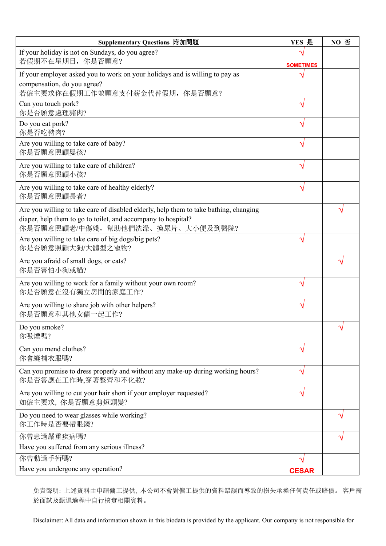| Supplementary Questions 附加問題                                                                                                                                                               | YES 是            | NO 否            |
|--------------------------------------------------------------------------------------------------------------------------------------------------------------------------------------------|------------------|-----------------|
| If your holiday is not on Sundays, do you agree?<br>若假期不在星期日, 你是否願意?                                                                                                                       | <b>SOMETIMES</b> |                 |
| If your employer asked you to work on your holidays and is willing to pay as<br>compensation, do you agree?<br>若僱主要求你在假期工作並願意支付薪金代替假期, 你是否願意?                                              |                  |                 |
| Can you touch pork?<br>你是否願意處理豬肉?                                                                                                                                                          | ٦                |                 |
| Do you eat pork?<br>你是否吃豬肉?                                                                                                                                                                | $\Delta$         |                 |
| Are you willing to take care of baby?<br>你是否願意照顧嬰孩?                                                                                                                                        |                  |                 |
| Are you willing to take care of children?<br>你是否願意照顧小孩?                                                                                                                                    |                  |                 |
| Are you willing to take care of healthy elderly?<br>你是否願意照顧長者?                                                                                                                             | ٦                |                 |
| Are you willing to take care of disabled elderly, help them to take bathing, changing<br>diaper, help them to go to toilet, and accompany to hospital?<br>你是否願意照顧老/中傷殘,幫助他們洗澡、換尿片、大小便及到醫院? |                  |                 |
| Are you willing to take care of big dogs/big pets?<br>你是否願意照顧大狗/大體型之寵物?                                                                                                                    | $\Delta$         |                 |
| Are you afraid of small dogs, or cats?<br>你是否害怕小狗或貓?                                                                                                                                       |                  |                 |
| Are you willing to work for a family without your own room?<br>你是否願意在沒有獨立房間的家庭工作?                                                                                                          |                  |                 |
| Are you willing to share job with other helpers?<br>你是否願意和其他女傭一起工作?                                                                                                                        | $\Delta$         |                 |
| Do you smoke?<br>你吸煙嗎?                                                                                                                                                                     |                  | $\triangleleft$ |
| Can you mend clothes?<br>你會縫補衣服嗎?                                                                                                                                                          | ٦                |                 |
| Can you promise to dress properly and without any make-up during working hours?<br>你是否答應在工作時,穿著整齊和不化妝?                                                                                     | $\triangleleft$  |                 |
| Are you willing to cut your hair short if your employer requested?<br>如僱主要求, 你是否願意剪短頭髮?                                                                                                    | $\Delta$         |                 |
| Do you need to wear glasses while working?<br>你工作時是否要帶眼鏡?                                                                                                                                  |                  |                 |
| 你曾患過嚴重疾病嗎?                                                                                                                                                                                 |                  |                 |
| Have you suffered from any serious illness?                                                                                                                                                |                  |                 |
| 你曾動過手術嗎?                                                                                                                                                                                   |                  |                 |
| Have you undergone any operation?                                                                                                                                                          | <b>CESAR</b>     |                 |

免責聲明: 上述資料由申請傭工提供, 本公司不會對傭工提供的資料錯誤而導致的損失承擔任何責任或賠償。 客戶需 於面試及甄選過程中自行核實相關資料。

Disclaimer: All data and information shown in this biodata is provided by the applicant. Our company is not responsible for